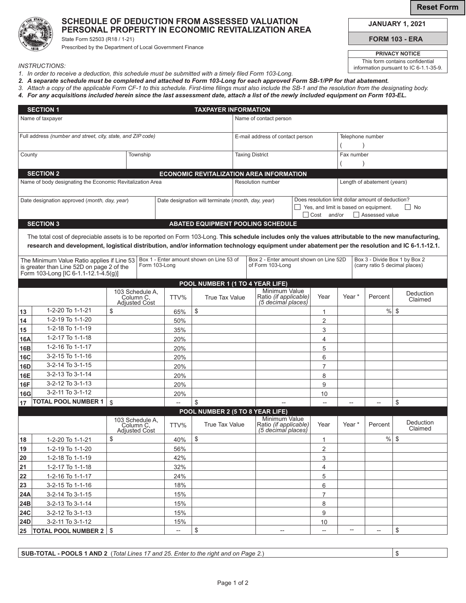**Reset Form**

## **SCHEDULE OF DEDUCTION FROM ASSESSED VALUATION PERSONAL PROPERTY IN ECONOMIC REVITALIZATION AREA**

State Form 52503 (R18 / 1-21) Prescribed by the Department of Local Government Finance **JANUARY 1, 2021**

**FORM 103 - ERA**

\$

**PRIVACY NOTICE** This form contains confidential information pursuant to IC 6-1.1-35-9.

*INSTRUCTIONS:*

- *1. In order to receive a deduction, this schedule must be submitted with a timely filed Form 103-Long.*
- *2. A separate schedule must be completed and attached to Form 103-Long for each approved Form SB-1/PP for that abatement.*
- *3. Attach a copy of the applicable Form CF-1 to this schedule. First-time filings must also include the SB-1 and the resolution from the designating body.*
- *4. For any acquisitions included herein since the last assessment date, attach a list of the newly included equipment on Form 103-EL.*

| <b>SECTION 1</b><br><b>TAXPAYER INFORMATION</b>             |                                                                                                                                                        |                                                      |               |                                                    |                                          |                                          |                                                                     |                                                   |                             |                   |                               |                                |  |
|-------------------------------------------------------------|--------------------------------------------------------------------------------------------------------------------------------------------------------|------------------------------------------------------|---------------|----------------------------------------------------|------------------------------------------|------------------------------------------|---------------------------------------------------------------------|---------------------------------------------------|-----------------------------|-------------------|-------------------------------|--------------------------------|--|
| Name of taxpayer                                            |                                                                                                                                                        |                                                      |               |                                                    | Name of contact person                   |                                          |                                                                     |                                                   |                             |                   |                               |                                |  |
|                                                             |                                                                                                                                                        |                                                      |               |                                                    |                                          |                                          |                                                                     |                                                   |                             |                   |                               |                                |  |
| Full address (number and street, city, state, and ZIP code) |                                                                                                                                                        |                                                      |               |                                                    |                                          | E-mail address of contact person         |                                                                     |                                                   |                             | Telephone number  |                               |                                |  |
|                                                             |                                                                                                                                                        |                                                      |               |                                                    |                                          |                                          |                                                                     |                                                   |                             |                   |                               |                                |  |
| County                                                      |                                                                                                                                                        |                                                      | Township      |                                                    |                                          |                                          | <b>Taxing District</b>                                              |                                                   |                             | Fax number        |                               |                                |  |
|                                                             |                                                                                                                                                        |                                                      |               |                                                    |                                          |                                          |                                                                     |                                                   |                             |                   |                               |                                |  |
|                                                             | <b>SECTION 2</b>                                                                                                                                       |                                                      |               |                                                    |                                          | ECONOMIC REVITALIZATION AREA INFORMATION |                                                                     |                                                   |                             |                   |                               |                                |  |
|                                                             | Name of body designating the Economic Revitalization Area                                                                                              |                                                      |               |                                                    |                                          | <b>Resolution number</b>                 |                                                                     |                                                   | Length of abatement (years) |                   |                               |                                |  |
|                                                             |                                                                                                                                                        |                                                      |               |                                                    |                                          |                                          |                                                                     | Does resolution limit dollar amount of deduction? |                             |                   |                               |                                |  |
| Date designation approved (month, day, year)                |                                                                                                                                                        |                                                      |               | Date designation will terminate (month, day, year) |                                          |                                          |                                                                     | Yes, and limit is based on equipment.<br>l I No   |                             |                   |                               |                                |  |
|                                                             |                                                                                                                                                        |                                                      |               |                                                    |                                          |                                          |                                                                     | $\Box$ Cost and/or<br>□ Assessed value            |                             |                   |                               |                                |  |
|                                                             | <b>SECTION 3</b>                                                                                                                                       |                                                      |               |                                                    | <b>ABATED EQUIPMENT POOLING SCHEDULE</b> |                                          |                                                                     |                                                   |                             |                   |                               |                                |  |
|                                                             | The total cost of depreciable assets is to be reported on Form 103-Long. This schedule includes only the values attributable to the new manufacturing, |                                                      |               |                                                    |                                          |                                          |                                                                     |                                                   |                             |                   |                               |                                |  |
|                                                             | research and development, logistical distribution, and/or information technology equipment under abatement per the resolution and IC 6-1.1-12.1.       |                                                      |               |                                                    |                                          |                                          |                                                                     |                                                   |                             |                   |                               |                                |  |
|                                                             |                                                                                                                                                        |                                                      |               |                                                    |                                          |                                          |                                                                     |                                                   |                             |                   |                               |                                |  |
|                                                             | The Minimum Value Ratio applies if Line 53                                                                                                             |                                                      | Form 103-Long |                                                    | Box 1 - Enter amount shown on Line 53 of | Box 2 - Enter amount shown on Line 52D   |                                                                     |                                                   |                             |                   | Box 3 - Divide Box 1 by Box 2 |                                |  |
|                                                             | is greater than Line 52D on page 2 of the<br>Form 103-Long [IC 6-1.1-12.1-4.5(g)]                                                                      |                                                      |               |                                                    |                                          |                                          | of Form 103-Long                                                    |                                                   |                             |                   |                               | (carry ratio 5 decimal places) |  |
|                                                             |                                                                                                                                                        |                                                      |               |                                                    | POOL NUMBER 1 (1 TO 4 YEAR LIFE)         |                                          |                                                                     |                                                   |                             |                   |                               |                                |  |
|                                                             |                                                                                                                                                        | 103 Schedule A,                                      |               |                                                    |                                          |                                          | Minimum Value                                                       |                                                   |                             |                   |                               | Deduction                      |  |
|                                                             |                                                                                                                                                        | Column C.<br><b>Adjusted Cost</b>                    |               | TTV%                                               | <b>True Tax Value</b>                    |                                          | Ratio (if applicable)<br>(5 decimal places)                         |                                                   | Year                        | Year <sup>*</sup> | Percent                       | Claimed                        |  |
| 13                                                          | 1-2-20 To 1-1-21                                                                                                                                       | \$                                                   |               | 65%                                                | \$                                       |                                          |                                                                     |                                                   | 1                           |                   | %                             | \$                             |  |
| 14                                                          | 1-2-19 To 1-1-20                                                                                                                                       |                                                      |               | 50%                                                |                                          |                                          |                                                                     |                                                   | 2                           |                   |                               |                                |  |
| 15                                                          | 1-2-18 To 1-1-19                                                                                                                                       |                                                      |               | 35%                                                |                                          |                                          |                                                                     |                                                   | 3                           |                   |                               |                                |  |
| 16A                                                         | 1-2-17 To 1-1-18                                                                                                                                       |                                                      |               | 20%                                                |                                          |                                          |                                                                     |                                                   | $\overline{4}$              |                   |                               |                                |  |
| 16B                                                         | 1-2-16 To 1-1-17                                                                                                                                       |                                                      |               | 20%                                                |                                          |                                          |                                                                     |                                                   | 5                           |                   |                               |                                |  |
| <b>16C</b>                                                  | 3-2-15 To 1-1-16                                                                                                                                       |                                                      |               | 20%                                                |                                          |                                          |                                                                     |                                                   | 6                           |                   |                               |                                |  |
| 16D                                                         | 3-2-14 To 3-1-15                                                                                                                                       |                                                      |               | 20%                                                |                                          |                                          |                                                                     |                                                   | $\overline{7}$              |                   |                               |                                |  |
| 16E                                                         | 3-2-13 To 3-1-14                                                                                                                                       |                                                      |               | 20%                                                |                                          |                                          |                                                                     |                                                   | 8                           |                   |                               |                                |  |
| <b>16F</b>                                                  | 3-2-12 To 3-1-13                                                                                                                                       |                                                      |               | 20%                                                |                                          |                                          |                                                                     |                                                   | 9                           |                   |                               |                                |  |
| 16G                                                         | 3-2-11 To 3-1-12                                                                                                                                       |                                                      |               | 20%                                                |                                          |                                          |                                                                     |                                                   | 10                          |                   |                               |                                |  |
| 17                                                          | <b>TOTAL POOL NUMBER 1</b>                                                                                                                             | $\mathfrak{S}$                                       |               |                                                    | \$                                       |                                          |                                                                     |                                                   |                             |                   |                               | \$                             |  |
|                                                             |                                                                                                                                                        |                                                      |               |                                                    | POOL NUMBER 2 (5 TO 8 YEAR LIFE)         |                                          |                                                                     |                                                   |                             |                   |                               |                                |  |
|                                                             |                                                                                                                                                        | 103 Schedule A,<br>Column C,<br><b>Adjusted Cost</b> |               | TTV%                                               | <b>True Tax Value</b>                    |                                          | Minimum Value<br>Ratio <i>(if applicable)</i><br>(5 decimal places) |                                                   | Year                        | Year <sup>*</sup> | Percent                       | Deduction<br>Claimed           |  |
| 18                                                          | 1-2-20 To 1-1-21                                                                                                                                       | \$                                                   |               | 40%                                                | \$                                       |                                          |                                                                     |                                                   | 1                           |                   | $\%$                          | \$                             |  |
| 19                                                          | 1-2-19 To 1-1-20                                                                                                                                       |                                                      |               | 56%                                                |                                          |                                          |                                                                     |                                                   | $\overline{2}$              |                   |                               |                                |  |
| 20                                                          | 1-2-18 To 1-1-19                                                                                                                                       |                                                      |               | 42%                                                |                                          |                                          |                                                                     |                                                   | 3                           |                   |                               |                                |  |
| 21                                                          | 1-2-17 To 1-1-18                                                                                                                                       |                                                      |               | 32%                                                |                                          |                                          |                                                                     |                                                   | 4                           |                   |                               |                                |  |
| 22                                                          | 1-2-16 To 1-1-17                                                                                                                                       |                                                      |               | 24%                                                |                                          |                                          |                                                                     |                                                   | 5                           |                   |                               |                                |  |
| 23                                                          | 3-2-15 To 1-1-16                                                                                                                                       |                                                      |               | 18%                                                |                                          |                                          |                                                                     |                                                   | 6                           |                   |                               |                                |  |
| 24A                                                         | 3-2-14 To 3-1-15                                                                                                                                       |                                                      |               | 15%                                                |                                          |                                          |                                                                     |                                                   | $\overline{7}$              |                   |                               |                                |  |
| 24B                                                         | 3-2-13 To 3-1-14                                                                                                                                       |                                                      |               | 15%                                                |                                          |                                          |                                                                     |                                                   | 8                           |                   |                               |                                |  |
| <b>24C</b>                                                  | 3-2-12 To 3-1-13                                                                                                                                       |                                                      |               | 15%                                                |                                          |                                          |                                                                     |                                                   | 9                           |                   |                               |                                |  |
| <b>24D</b>                                                  | 3-2-11 To 3-1-12                                                                                                                                       |                                                      |               | 15%                                                |                                          |                                          |                                                                     |                                                   | 10                          |                   |                               |                                |  |
|                                                             | 25   TOTAL POOL NUMBER 2   \$                                                                                                                          |                                                      |               | --                                                 | \$                                       |                                          | $- -$                                                               |                                                   | $\overline{\phantom{a}}$    | --                | $\overline{\phantom{a}}$      | \$                             |  |